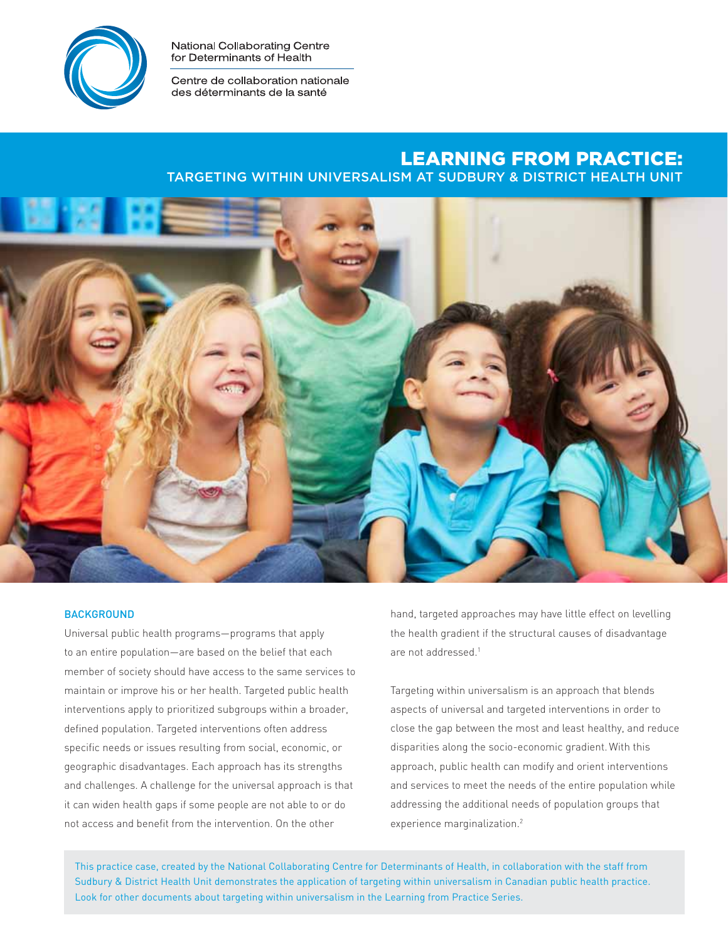

National Collaborating Centre for Determinants of Health

Centre de collaboration nationale des déterminants de la santé

# Learning from practice:

Targeting within universalism at Sudbury & District Health Unit



## **BACKGROUND**

Universal public health programs—programs that apply to an entire population—are based on the belief that each member of society should have access to the same services to maintain or improve his or her health. Targeted public health interventions apply to prioritized subgroups within a broader, defined population. Targeted interventions often address specific needs or issues resulting from social, economic, or geographic disadvantages. Each approach has its strengths and challenges. A challenge for the universal approach is that it can widen health gaps if some people are not able to or do not access and benefit from the intervention. On the other

hand, targeted approaches may have little effect on levelling the health gradient if the structural causes of disadvantage are not addressed.<sup>1</sup>

Targeting within universalism is an approach that blends aspects of universal and targeted interventions in order to close the gap between the most and least healthy, and reduce disparities along the socio-economic gradient. With this approach, public health can modify and orient interventions and services to meet the needs of the entire population while addressing the additional needs of population groups that experience marginalization.<sup>2</sup>

This practice case, created by the National Collaborating Centre for Determinants of Health, in collaboration with the staff from Sudbury & District Health Unit demonstrates the application of targeting within universalism in Canadian public health practice. Look for other documents about targeting within universalism in the Learning from Practice Series.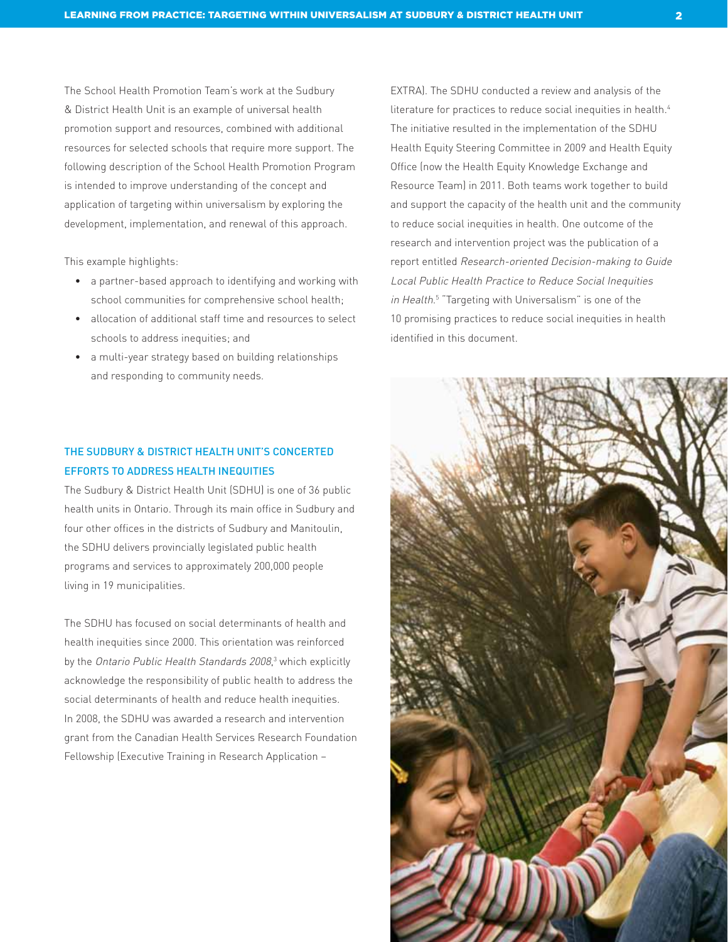The School Health Promotion Team's work at the Sudbury & District Health Unit is an example of universal health promotion support and resources, combined with additional resources for selected schools that require more support. The following description of the School Health Promotion Program is intended to improve understanding of the concept and application of targeting within universalism by exploring the development, implementation, and renewal of this approach.

This example highlights:

- a partner-based approach to identifying and working with school communities for comprehensive school health;
- allocation of additional staff time and resources to select schools to address inequities; and
- a multi-year strategy based on building relationships and responding to community needs.

# THE SUDBURY & DISTRICT HEALTH UNIT'S CONCERTED Efforts to Address Health Inequities

The Sudbury & District Health Unit (SDHU) is one of 36 public health units in Ontario. Through its main office in Sudbury and four other offices in the districts of Sudbury and Manitoulin, the SDHU delivers provincially legislated public health programs and services to approximately 200,000 people living in 19 municipalities.

The SDHU has focused on social determinants of health and health inequities since 2000. This orientation was reinforced by the Ontario Public Health Standards 2008,<sup>3</sup> which explicitly acknowledge the responsibility of public health to address the social determinants of health and reduce health inequities. In 2008, the SDHU was awarded a research and intervention grant from the Canadian Health Services Research Foundation Fellowship (Executive Training in Research Application –

EXTRA). The SDHU conducted a review and analysis of the literature for practices to reduce social inequities in health.<sup>4</sup> The initiative resulted in the implementation of the SDHU Health Equity Steering Committee in 2009 and Health Equity Office (now the Health Equity Knowledge Exchange and Resource Team) in 2011. Both teams work together to build and support the capacity of the health unit and the community to reduce social inequities in health. One outcome of the research and intervention project was the publication of a report entitled Research-oriented Decision-making to Guide Local Public Health Practice to Reduce Social Inequities in Health. 5 "Targeting with Universalism" is one of the 10 promising practices to reduce social inequities in health identified in this document.

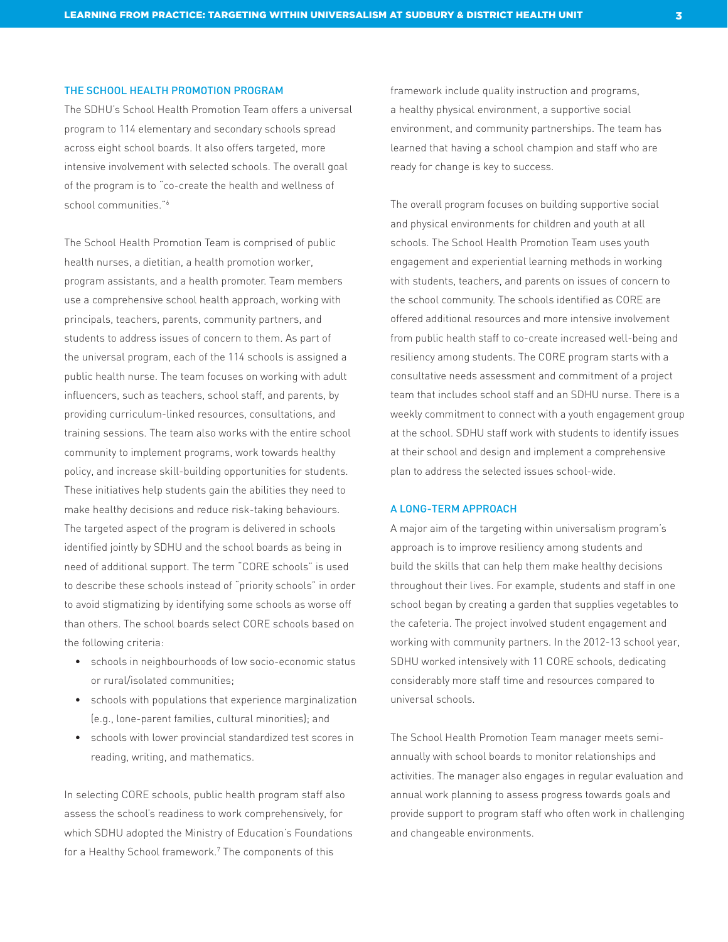## The School Health Promotion Program

The SDHU's School Health Promotion Team offers a universal program to 114 elementary and secondary schools spread across eight school boards. It also offers targeted, more intensive involvement with selected schools. The overall goal of the program is to "co-create the health and wellness of school communities."6

The School Health Promotion Team is comprised of public health nurses, a dietitian, a health promotion worker, program assistants, and a health promoter. Team members use a comprehensive school health approach, working with principals, teachers, parents, community partners, and students to address issues of concern to them. As part of the universal program, each of the 114 schools is assigned a public health nurse. The team focuses on working with adult influencers, such as teachers, school staff, and parents, by providing curriculum-linked resources, consultations, and training sessions. The team also works with the entire school community to implement programs, work towards healthy policy, and increase skill-building opportunities for students. These initiatives help students gain the abilities they need to make healthy decisions and reduce risk-taking behaviours. The targeted aspect of the program is delivered in schools identified jointly by SDHU and the school boards as being in need of additional support. The term "CORE schools" is used to describe these schools instead of "priority schools" in order to avoid stigmatizing by identifying some schools as worse off than others. The school boards select CORE schools based on the following criteria:

- schools in neighbourhoods of low socio-economic status or rural/isolated communities;
- schools with populations that experience marginalization (e.g., lone-parent families, cultural minorities); and
- schools with lower provincial standardized test scores in reading, writing, and mathematics.

In selecting CORE schools, public health program staff also assess the school's readiness to work comprehensively, for which SDHU adopted the Ministry of Education's Foundations for a Healthy School framework.7 The components of this

framework include quality instruction and programs, a healthy physical environment, a supportive social environment, and community partnerships. The team has learned that having a school champion and staff who are ready for change is key to success.

The overall program focuses on building supportive social and physical environments for children and youth at all schools. The School Health Promotion Team uses youth engagement and experiential learning methods in working with students, teachers, and parents on issues of concern to the school community. The schools identified as CORE are offered additional resources and more intensive involvement from public health staff to co-create increased well-being and resiliency among students. The CORE program starts with a consultative needs assessment and commitment of a project team that includes school staff and an SDHU nurse. There is a weekly commitment to connect with a youth engagement group at the school. SDHU staff work with students to identify issues at their school and design and implement a comprehensive plan to address the selected issues school-wide.

# A Long-term Approach

A major aim of the targeting within universalism program's approach is to improve resiliency among students and build the skills that can help them make healthy decisions throughout their lives. For example, students and staff in one school began by creating a garden that supplies vegetables to the cafeteria. The project involved student engagement and working with community partners. In the 2012-13 school year, SDHU worked intensively with 11 CORE schools, dedicating considerably more staff time and resources compared to universal schools.

The School Health Promotion Team manager meets semiannually with school boards to monitor relationships and activities. The manager also engages in regular evaluation and annual work planning to assess progress towards goals and provide support to program staff who often work in challenging and changeable environments.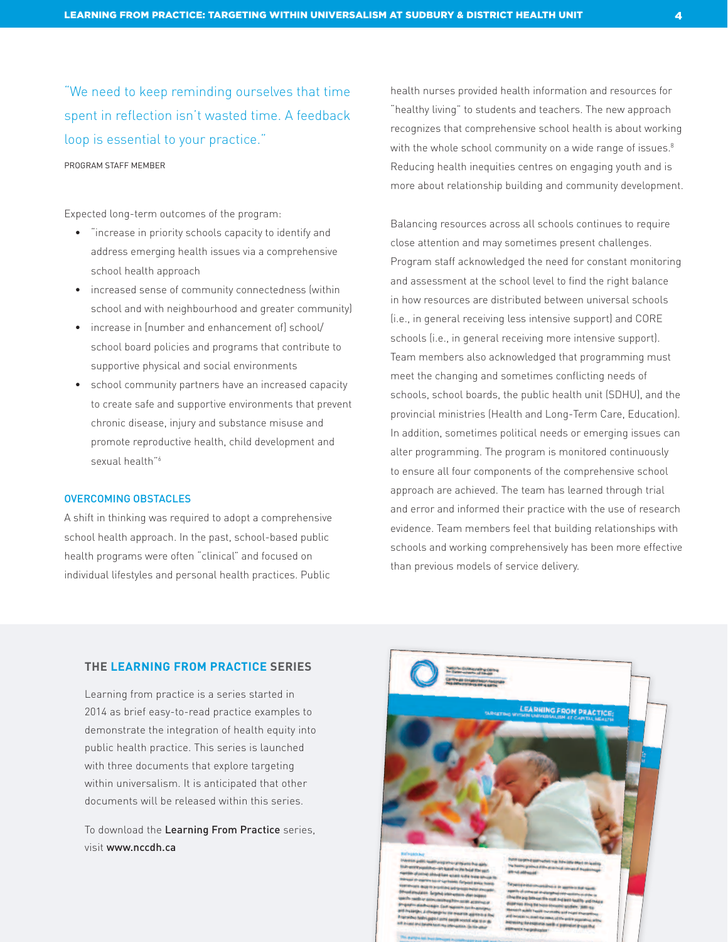"We need to keep reminding ourselves that time spent in reflection isn't wasted time. A feedback loop is essential to your practice."

Program staff member

Expected long-term outcomes of the program:

- "increase in priority schools capacity to identify and address emerging health issues via a comprehensive school health approach
- increased sense of community connectedness (within school and with neighbourhood and greater community)
- increase in [number and enhancement of] school/ school board policies and programs that contribute to supportive physical and social environments
- school community partners have an increased capacity to create safe and supportive environments that prevent chronic disease, injury and substance misuse and promote reproductive health, child development and sexual health"<sup>6</sup>

## Overcoming Obstacles

A shift in thinking was required to adopt a comprehensive school health approach. In the past, school-based public health programs were often "clinical" and focused on individual lifestyles and personal health practices. Public

health nurses provided health information and resources for "healthy living" to students and teachers. The new approach recognizes that comprehensive school health is about working with the whole school community on a wide range of issues.<sup>8</sup> Reducing health inequities centres on engaging youth and is more about relationship building and community development.

Balancing resources across all schools continues to require close attention and may sometimes present challenges. Program staff acknowledged the need for constant monitoring and assessment at the school level to find the right balance in how resources are distributed between universal schools (i.e., in general receiving less intensive support) and CORE schools (i.e., in general receiving more intensive support). Team members also acknowledged that programming must meet the changing and sometimes conflicting needs of schools, school boards, the public health unit (SDHU), and the provincial ministries (Health and Long-Term Care, Education). In addition, sometimes political needs or emerging issues can alter programming. The program is monitored continuously to ensure all four components of the comprehensive school approach are achieved. The team has learned through trial and error and informed their practice with the use of research evidence. Team members feel that building relationships with schools and working comprehensively has been more effective than previous models of service delivery.

# **the Learning from practice series**

Learning from practice is a series started in 2014 as brief easy-to-read practice examples to demonstrate the integration of health equity into public health practice. This series is launched with three documents that explore targeting within universalism. It is anticipated that other documents will be released within this series.

To download the Learning From Practice series, visit www.nccdh.ca

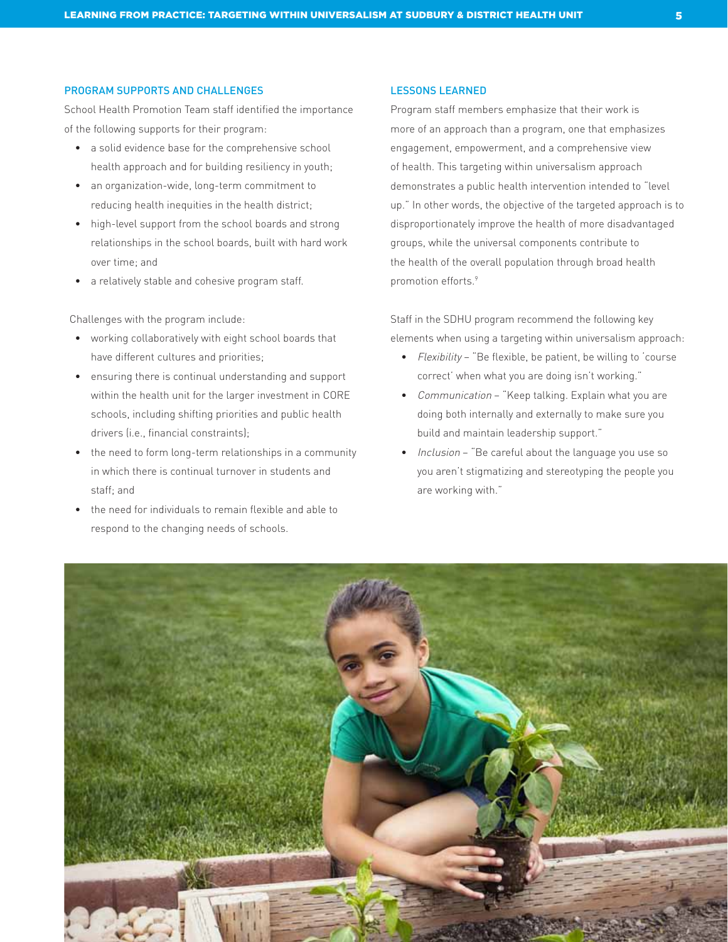# Program Supports and Challenges

School Health Promotion Team staff identified the importance of the following supports for their program:

- a solid evidence base for the comprehensive school health approach and for building resiliency in youth;
- an organization-wide, long-term commitment to reducing health inequities in the health district;
- high-level support from the school boards and strong relationships in the school boards, built with hard work over time; and
- a relatively stable and cohesive program staff.

Challenges with the program include:

- working collaboratively with eight school boards that have different cultures and priorities;
- ensuring there is continual understanding and support within the health unit for the larger investment in CORE schools, including shifting priorities and public health drivers (i.e., financial constraints);
- the need to form long-term relationships in a community in which there is continual turnover in students and staff; and
- the need for individuals to remain flexible and able to respond to the changing needs of schools.

# Lessons Learned

Program staff members emphasize that their work is more of an approach than a program, one that emphasizes engagement, empowerment, and a comprehensive view of health. This targeting within universalism approach demonstrates a public health intervention intended to "level up." In other words, the objective of the targeted approach is to disproportionately improve the health of more disadvantaged groups, while the universal components contribute to the health of the overall population through broad health promotion efforts.<sup>9</sup>

Staff in the SDHU program recommend the following key elements when using a targeting within universalism approach:

- Flexibility "Be flexible, be patient, be willing to 'course correct' when what you are doing isn't working."
- Communication "Keep talking. Explain what you are doing both internally and externally to make sure you build and maintain leadership support."
- Inclusion "Be careful about the language you use so you aren't stigmatizing and stereotyping the people you are working with."